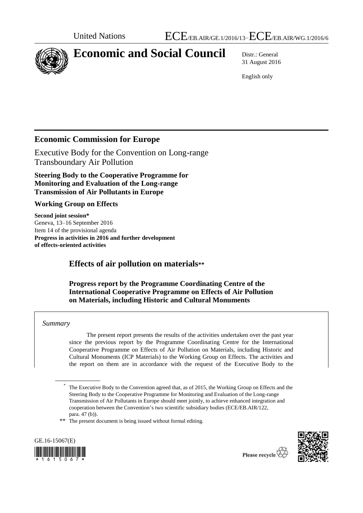

# **Economic and Social Council** Distr.: General

31 August 2016

English only

## **Economic Commission for Europe**

Executive Body for the Convention on Long-range Transboundary Air Pollution

**Steering Body to the Cooperative Programme for Monitoring and Evaluation of the Long-range Transmission of Air Pollutants in Europe**

## **Working Group on Effects**

**Second joint session\*** Geneva, 13–16 September 2016 Item 14 of the provisional agenda **Progress in activities in 2016 and further development of effects-oriented activities**

# **Effects of air pollution on materials\*\***

## **Progress report by the Programme Coordinating Centre of the International Cooperative Programme on Effects of Air Pollution on Materials, including Historic and Cultural Monuments**

#### *Summary*

The present report presents the results of the activities undertaken over the past year since the previous report by the Programme Coordinating Centre for the International Cooperative Programme on Effects of Air Pollution on Materials, including Historic and Cultural Monuments (ICP Materials) to the Working Group on Effects. The activities and the report on them are in accordance with the request of the Executive Body to the

\*\* The present document is being issued without formal editing.





<sup>\*</sup> The Executive Body to the Convention agreed that, as of 2015, the Working Group on Effects and the Steering Body to the Cooperative Programme for Monitoring and Evaluation of the Long-range Transmission of Air Pollutants in Europe should meet jointly, to achieve enhanced integration and cooperation between the Convention's two scientific subsidiary bodies (ECE/EB.AIR/122, para. 47 (b)).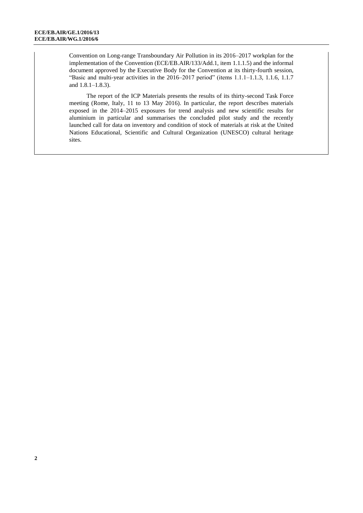Convention on Long-range Transboundary Air Pollution in its 2016–2017 workplan for the implementation of the Convention (ECE/EB.AIR/133/Add.1, item 1.1.1.5) and the informal document approved by the Executive Body for the Convention at its thirty-fourth session, "Basic and multi-year activities in the  $2016-2017$  period" (items 1.1.1–1.1.3, 1.1.6, 1.1.7) and 1.8.1–1.8.3).

The report of the ICP Materials presents the results of its thirty-second Task Force meeting (Rome, Italy, 11 to 13 May 2016). In particular, the report describes materials exposed in the 2014–2015 exposures for trend analysis and new scientific results for aluminium in particular and summarises the concluded pilot study and the recently launched call for data on inventory and condition of stock of materials at risk at the United Nations Educational, Scientific and Cultural Organization (UNESCO) cultural heritage sites.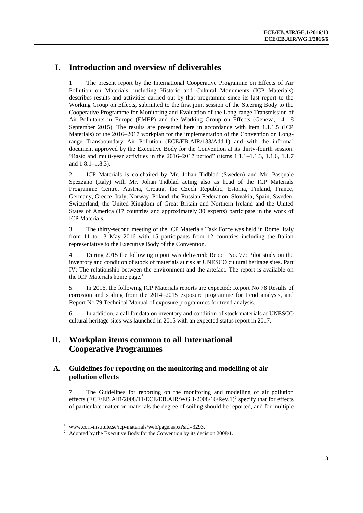## **I. Introduction and overview of deliverables**

1. The present report by the International Cooperative Programme on Effects of Air Pollution on Materials, including Historic and Cultural Monuments (ICP Materials) describes results and activities carried out by that programme since its last report to the Working Group on Effects, submitted to the first joint session of the Steering Body to the Cooperative Programme for Monitoring and Evaluation of the Long-range Transmission of Air Pollutants in Europe (EMEP) and the Working Group on Effects (Geneva, 14–18 September 2015). The results are presented here in accordance with item 1.1.1.5 (ICP Materials) of the 2016–2017 workplan for the implementation of the Convention on Longrange Transboundary Air Pollution (ECE/EB.AIR/133/Add.1) and with the informal document approved by the Executive Body for the Convention at its thirty-fourth session, "Basic and multi-year activities in the  $2016-2017$  period" (items 1.1.1–1.1.3, 1.1.6, 1.1.7 and 1.8.1–1.8.3).

2. ICP Materials is co-chaired by Mr. Johan Tidblad (Sweden) and Mr. Pasquale Spezzano (Italy) with Mr. Johan Tidblad acting also as head of the ICP Materials Programme Centre. Austria, Croatia, the Czech Republic, Estonia, Finland, France, Germany, Greece, Italy, Norway, Poland, the Russian Federation, Slovakia, Spain, Sweden, Switzerland, the United Kingdom of Great Britain and Northern Ireland and the United States of America (17 countries and approximately 30 experts) participate in the work of ICP Materials.

3. The thirty-second meeting of the ICP Materials Task Force was held in Rome, Italy from 11 to 13 May 2016 with 15 participants from 12 countries including the Italian representative to the Executive Body of the Convention.

4. During 2015 the following report was delivered: Report No. 77: Pilot study on the inventory and condition of stock of materials at risk at UNESCO cultural heritage sites. Part IV: The relationship between the environment and the artefact. The report is available on the ICP Materials home page.<sup>1</sup>

5. In 2016, the following ICP Materials reports are expected: Report No 78 Results of corrosion and soiling from the 2014–2015 exposure programme for trend analysis, and Report No 79 Technical Manual of exposure programmes for trend analysis.

6. In addition, a call for data on inventory and condition of stock materials at UNESCO cultural heritage sites was launched in 2015 with an expected status report in 2017.

# **II. Workplan items common to all International Cooperative Programmes**

#### **A. Guidelines for reporting on the monitoring and modelling of air pollution effects**

7. The Guidelines for reporting on the monitoring and modelling of air pollution effects (ECE/EB.AIR/2008/11/ECE/EB.AIR/WG.1/2008/16/Rev.1)<sup>2</sup> specify that for effects of particulate matter on materials the degree of soiling should be reported, and for multiple

<sup>&</sup>lt;sup>1</sup> [www.corr-institute.se/icp-materials/web/page.aspx?sid=3293.](http://www.corr-institute.se/icp-materials/web/page.aspx?sid=3293)

 $2\degree$  Adopted by the Executive Body for the Convention by its decision 2008/1.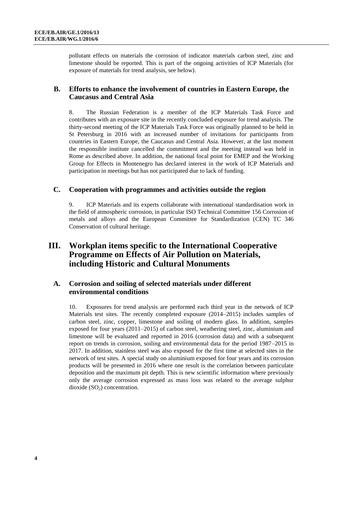pollutant effects on materials the corrosion of indicator materials carbon steel, zinc and limestone should be reported. This is part of the ongoing activities of ICP Materials (for exposure of materials for trend analysis, see below).

### **B. Efforts to enhance the involvement of countries in Eastern Europe, the Caucasus and Central Asia**

8. The Russian Federation is a member of the ICP Materials Task Force and contributes with an exposure site in the recently concluded exposure for trend analysis. The thirty-second meeting of the ICP Materials Task Force was originally planned to be held in St Petersburg in 2016 with an increased number of invitations for participants from countries in Eastern Europe, the Caucasus and Central Asia. However, at the last moment the responsible institute cancelled the commitment and the meeting instead was held in Rome as described above. In addition, the national focal point for EMEP and the Working Group for Effects in Montenegro has declared interest in the work of ICP Materials and participation in meetings but has not participated due to lack of funding.

#### **C. Cooperation with programmes and activities outside the region**

9. ICP Materials and its experts collaborate with international standardisation work in the field of atmospheric corrosion, in particular ISO Technical Committee 156 Corrosion of metals and alloys and the European Committee for Standardization (CEN) TC 346 Conservation of cultural heritage.

## **III. Workplan items specific to the International Cooperative Programme on Effects of Air Pollution on Materials, including Historic and Cultural Monuments**

#### **A. Corrosion and soiling of selected materials under different environmental conditions**

10. Exposures for trend analysis are performed each third year in the network of ICP Materials test sites. The recently completed exposure (2014–2015) includes samples of carbon steel, zinc, copper, limestone and soiling of modern glass. In addition, samples exposed for four years (2011–2015) of carbon steel, weathering steel, zinc, aluminium and limestone will be evaluated and reported in 2016 (corrosion data) and with a subsequent report on trends in corrosion, soiling and environmental data for the period 1987–2015 in 2017. In addition, stainless steel was also exposed for the first time at selected sites in the network of test sites. A special study on aluminium exposed for four years and its corrosion products will be presented in 2016 where one result is the correlation between particulate deposition and the maximum pit depth. This is new scientific information where previously only the average corrosion expressed as mass loss was related to the average sulphur dioxide  $(SO<sub>2</sub>)$  concentration.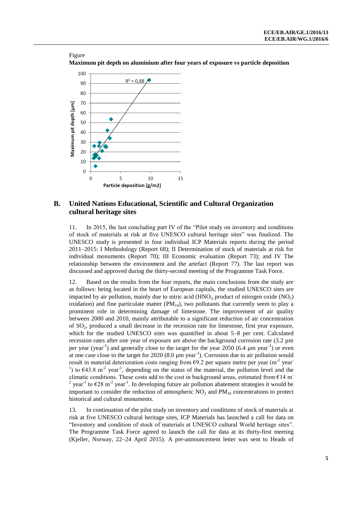



#### **B. United Nations Educational, Scientific and Cultural Organization cultural heritage sites**

11. In 2015, the last concluding part IV of the "Pilot study on inventory and conditions of stock of materials at risk at five UNESCO cultural heritage sites" was finalized. The UNESCO study is presented in four individual ICP Materials reports during the period 2011–2015: I Methodology (Report 68); II Determination of stock of materials at risk for individual monuments (Report 70); III Economic evaluation (Report 73); and IV The relationship between the environment and the artefact (Report 77). The last report was discussed and approved during the thirty-second meeting of the Programme Task Force.

12. Based on the results from the four reports, the main conclusions from the study are as follows: being located in the heart of European capitals, the studied UNESCO sites are impacted by air pollution, mainly due to nitric acid  $(HNO<sub>3</sub>)$ ; product of nitrogen oxide  $(NO<sub>2</sub>)$ oxidation) and fine particulate matter  $(PM_{10})$ , two pollutants that currently seem to play a prominent role in determining damage of limestone. The improvement of air quality between 2000 and 2010, mainly attributable to a significant reduction of air concentration of  $SO_2$ , produced a small decrease in the recession rate for limestone, first year exposure, which for the studied UNESCO sites was quantified in about 5–8 per cent. Calculated recession rates after one year of exposure are above the background corrosion rate (3.2 µm per year (year<sup>-1</sup>) and generally close to the target for the year 2050 (6.4  $\mu$ m year<sup>-1</sup>) or even at one case close to the target for  $2020 (8.0 \,\mu m \,\text{year}^{-1})$ . Corrosion due to air pollution would result in material deterioration costs ranging from  $69.2$  per square metre per year (m<sup>-2</sup> year) <sup>1</sup>) to  $\epsilon$ 43.8 m<sup>-2</sup> year<sup>-1</sup>, depending on the status of the material, the pollution level and the climatic conditions. These costs add to the cost in background areas, estimated from  $E14$  m<sup>-</sup> <sup>2</sup> year<sup>-1</sup> to  $\epsilon$ 28 m<sup>-2</sup> year<sup>-1</sup>. In developing future air pollution abatement strategies it would be important to consider the reduction of atmospheric  $NO<sub>2</sub>$  and  $PM<sub>10</sub>$  concentrations to protect historical and cultural monuments.

13. In continuation of the pilot study on inventory and conditions of stock of materials at risk at five UNESCO cultural heritage sites, ICP Materials has launched a call for data on "Inventory and condition of stock of materials at UNESCO cultural World heritage sites". The Programme Task Force agreed to launch the call for data at its thirty-first meeting (Kjeller, Norway, 22–24 April 2015). A pre-announcement letter was sent to Heads of